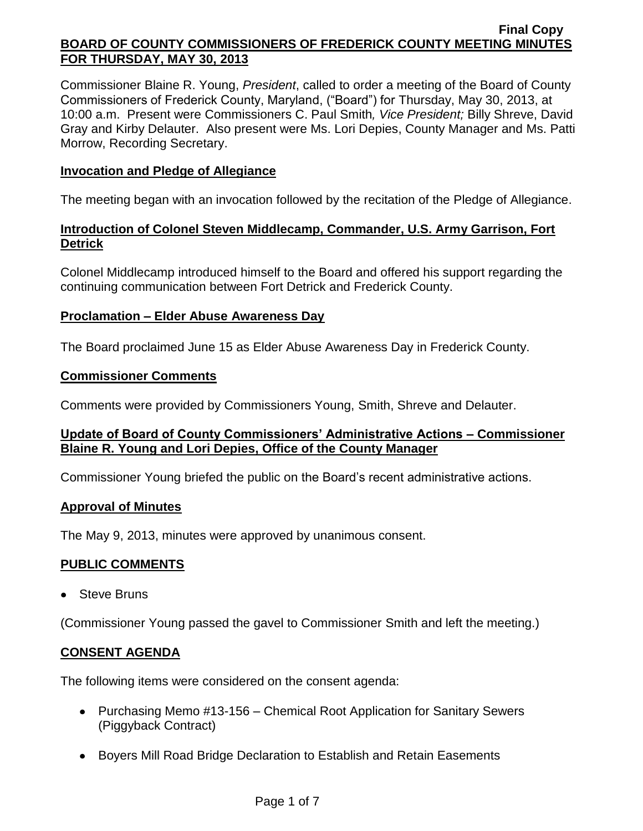Commissioner Blaine R. Young, *President*, called to order a meeting of the Board of County Commissioners of Frederick County, Maryland, ("Board") for Thursday, May 30, 2013, at 10:00 a.m. Present were Commissioners C. Paul Smith*, Vice President;* Billy Shreve, David Gray and Kirby Delauter. Also present were Ms. Lori Depies, County Manager and Ms. Patti Morrow, Recording Secretary.

### **Invocation and Pledge of Allegiance**

The meeting began with an invocation followed by the recitation of the Pledge of Allegiance.

## **Introduction of Colonel Steven Middlecamp, Commander, U.S. Army Garrison, Fort Detrick**

Colonel Middlecamp introduced himself to the Board and offered his support regarding the continuing communication between Fort Detrick and Frederick County.

## **Proclamation – Elder Abuse Awareness Day**

The Board proclaimed June 15 as Elder Abuse Awareness Day in Frederick County.

### **Commissioner Comments**

Comments were provided by Commissioners Young, Smith, Shreve and Delauter.

## **Update of Board of County Commissioners' Administrative Actions – Commissioner Blaine R. Young and Lori Depies, Office of the County Manager**

Commissioner Young briefed the public on the Board's recent administrative actions.

### **Approval of Minutes**

The May 9, 2013, minutes were approved by unanimous consent.

## **PUBLIC COMMENTS**

• Steve Bruns

(Commissioner Young passed the gavel to Commissioner Smith and left the meeting.)

## **CONSENT AGENDA**

The following items were considered on the consent agenda:

- Purchasing Memo #13-156 Chemical Root Application for Sanitary Sewers (Piggyback Contract)
- Boyers Mill Road Bridge Declaration to Establish and Retain Easements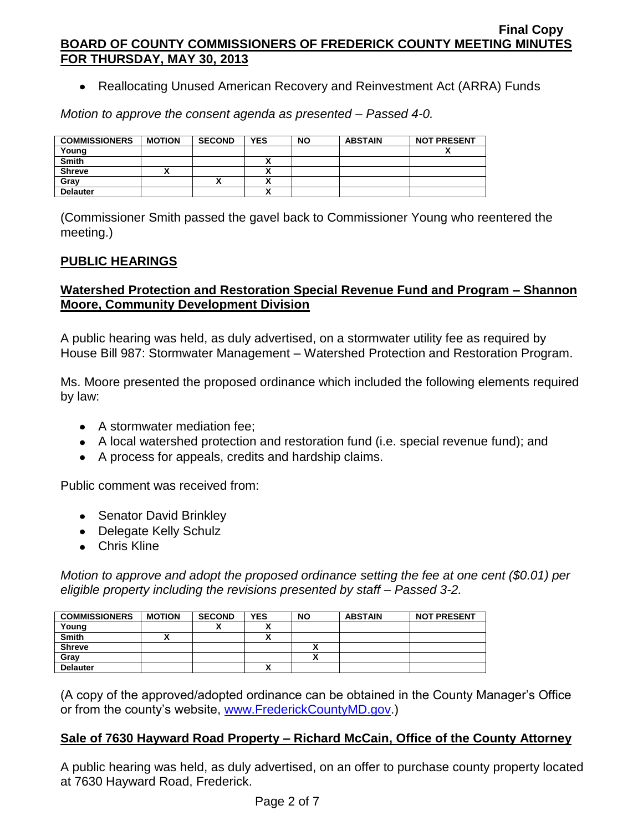• Reallocating Unused American Recovery and Reinvestment Act (ARRA) Funds

*Motion to approve the consent agenda as presented – Passed 4-0.*

| <b>COMMISSIONERS</b> | <b>MOTION</b> | <b>SECOND</b> | <b>YES</b> | <b>NO</b> | <b>ABSTAIN</b> | <b>NOT PRESENT</b> |
|----------------------|---------------|---------------|------------|-----------|----------------|--------------------|
| Young                |               |               |            |           |                |                    |
| <b>Smith</b>         |               |               |            |           |                |                    |
| <b>Shreve</b>        |               |               |            |           |                |                    |
| Gray                 |               |               |            |           |                |                    |
| <b>Delauter</b>      |               |               | `          |           |                |                    |

(Commissioner Smith passed the gavel back to Commissioner Young who reentered the meeting.)

# **PUBLIC HEARINGS**

# **Watershed Protection and Restoration Special Revenue Fund and Program – Shannon Moore, Community Development Division**

A public hearing was held, as duly advertised, on a stormwater utility fee as required by House Bill 987: Stormwater Management – Watershed Protection and Restoration Program.

Ms. Moore presented the proposed ordinance which included the following elements required by law:

- A stormwater mediation fee:
- A local watershed protection and restoration fund (i.e. special revenue fund); and
- A process for appeals, credits and hardship claims.

Public comment was received from:

- Senator David Brinkley
- Delegate Kelly Schulz
- Chris Kline

*Motion to approve and adopt the proposed ordinance setting the fee at one cent (\$0.01) per eligible property including the revisions presented by staff – Passed 3-2.*

| <b>COMMISSIONERS</b> | <b>MOTION</b> | <b>SECOND</b> | <b>YES</b> | <b>NO</b> | <b>ABSTAIN</b> | <b>NOT PRESENT</b> |
|----------------------|---------------|---------------|------------|-----------|----------------|--------------------|
| Young                |               | ^             |            |           |                |                    |
| <b>Smith</b>         |               |               |            |           |                |                    |
| <b>Shreve</b>        |               |               |            | ↗         |                |                    |
| Gray                 |               |               |            |           |                |                    |
| <b>Delauter</b>      |               |               |            |           |                |                    |

(A copy of the approved/adopted ordinance can be obtained in the County Manager's Office or from the county's website, [www.FrederickCountyMD.gov.](http://www.frederickcountymd.gov/))

## **Sale of 7630 Hayward Road Property – Richard McCain, Office of the County Attorney**

A public hearing was held, as duly advertised, on an offer to purchase county property located at 7630 Hayward Road, Frederick.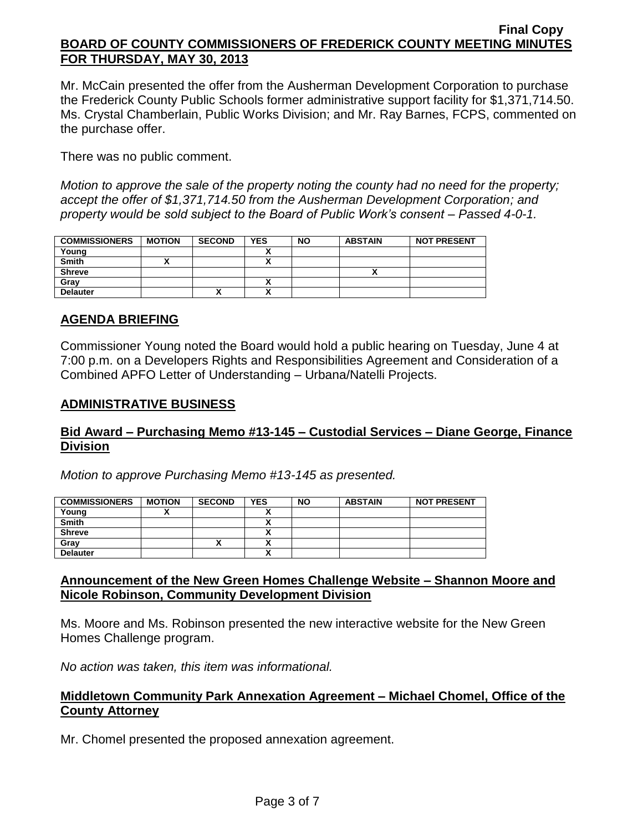Mr. McCain presented the offer from the Ausherman Development Corporation to purchase the Frederick County Public Schools former administrative support facility for \$1,371,714.50. Ms. Crystal Chamberlain, Public Works Division; and Mr. Ray Barnes, FCPS, commented on the purchase offer.

There was no public comment.

*Motion to approve the sale of the property noting the county had no need for the property; accept the offer of \$1,371,714.50 from the Ausherman Development Corporation; and property would be sold subject to the Board of Public Work's consent – Passed 4-0-1.*

| <b>COMMISSIONERS</b> | <b>MOTION</b> | <b>SECOND</b> | YES                  | <b>NO</b> | <b>ABSTAIN</b> | <b>NOT PRESENT</b> |
|----------------------|---------------|---------------|----------------------|-----------|----------------|--------------------|
| Young                |               |               | $\ddot{\phantom{a}}$ |           |                |                    |
| Smith                |               |               |                      |           |                |                    |
| <b>Shreve</b>        |               |               |                      |           |                |                    |
| Gray                 |               |               |                      |           |                |                    |
| <b>Delauter</b>      |               | ^             | ^                    |           |                |                    |

# **AGENDA BRIEFING**

Commissioner Young noted the Board would hold a public hearing on Tuesday, June 4 at 7:00 p.m. on a Developers Rights and Responsibilities Agreement and Consideration of a Combined APFO Letter of Understanding – Urbana/Natelli Projects.

### **ADMINISTRATIVE BUSINESS**

# **Bid Award – Purchasing Memo #13-145 – Custodial Services – Diane George, Finance Division**

*Motion to approve Purchasing Memo #13-145 as presented.*

| <b>COMMISSIONERS</b> | <b>MOTION</b> | <b>SECOND</b> | <b>YES</b> | <b>NO</b> | <b>ABSTAIN</b> | <b>NOT PRESENT</b> |
|----------------------|---------------|---------------|------------|-----------|----------------|--------------------|
| Young                |               |               |            |           |                |                    |
| <b>Smith</b>         |               |               |            |           |                |                    |
| <b>Shreve</b>        |               |               |            |           |                |                    |
| Gray                 |               | ^             |            |           |                |                    |
| <b>Delauter</b>      |               |               |            |           |                |                    |

## **Announcement of the New Green Homes Challenge Website – Shannon Moore and Nicole Robinson, Community Development Division**

Ms. Moore and Ms. Robinson presented the new interactive website for the New Green Homes Challenge program.

*No action was taken, this item was informational.*

## **Middletown Community Park Annexation Agreement – Michael Chomel, Office of the County Attorney**

Mr. Chomel presented the proposed annexation agreement.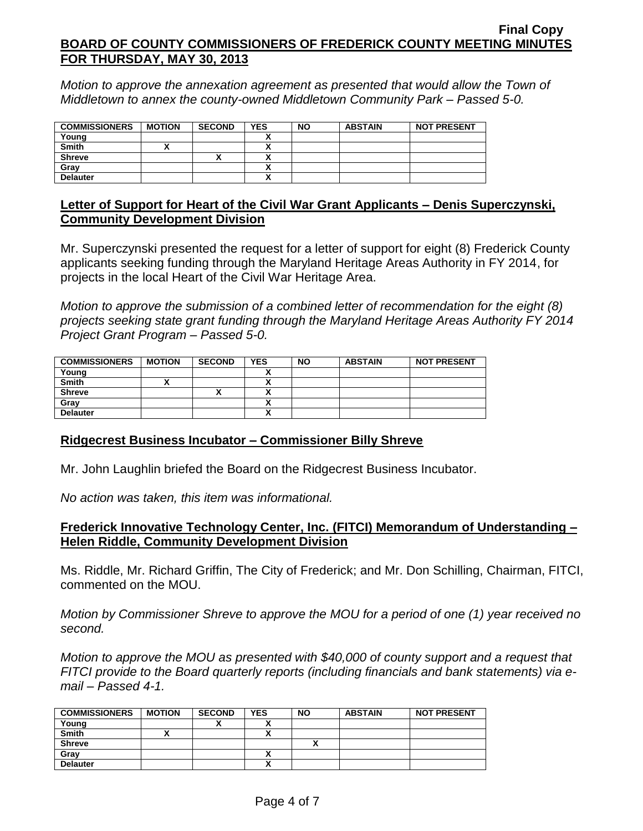*Motion to approve the annexation agreement as presented that would allow the Town of Middletown to annex the county-owned Middletown Community Park – Passed 5-0.*

| <b>COMMISSIONERS</b> | <b>MOTION</b> | <b>SECOND</b> | <b>YES</b> | <b>NO</b> | <b>ABSTAIN</b> | <b>NOT PRESENT</b> |
|----------------------|---------------|---------------|------------|-----------|----------------|--------------------|
| Young                |               |               |            |           |                |                    |
| <b>Smith</b>         |               |               |            |           |                |                    |
| <b>Shreve</b>        |               | ↗             |            |           |                |                    |
| Grav                 |               |               |            |           |                |                    |
| <b>Delauter</b>      |               |               |            |           |                |                    |

## **Letter of Support for Heart of the Civil War Grant Applicants – Denis Superczynski, Community Development Division**

Mr. Superczynski presented the request for a letter of support for eight (8) Frederick County applicants seeking funding through the Maryland Heritage Areas Authority in FY 2014, for projects in the local Heart of the Civil War Heritage Area.

*Motion to approve the submission of a combined letter of recommendation for the eight (8) projects seeking state grant funding through the Maryland Heritage Areas Authority FY 2014 Project Grant Program – Passed 5-0.*

| <b>COMMISSIONERS</b> | <b>MOTION</b> | <b>SECOND</b> | YES                      | <b>NO</b> | <b>ABSTAIN</b> | <b>NOT PRESENT</b> |
|----------------------|---------------|---------------|--------------------------|-----------|----------------|--------------------|
| Young                |               |               |                          |           |                |                    |
| <b>Smith</b>         |               |               | $\overline{\phantom{a}}$ |           |                |                    |
| <b>Shreve</b>        |               | Λ             |                          |           |                |                    |
| Gray                 |               |               |                          |           |                |                    |
| <b>Delauter</b>      |               |               | $\ddot{\phantom{a}}$     |           |                |                    |

## **Ridgecrest Business Incubator – Commissioner Billy Shreve**

Mr. John Laughlin briefed the Board on the Ridgecrest Business Incubator.

*No action was taken, this item was informational.*

## **Frederick Innovative Technology Center, Inc. (FITCI) Memorandum of Understanding – Helen Riddle, Community Development Division**

Ms. Riddle, Mr. Richard Griffin, The City of Frederick; and Mr. Don Schilling, Chairman, FITCI, commented on the MOU.

*Motion by Commissioner Shreve to approve the MOU for a period of one (1) year received no second.*

*Motion to approve the MOU as presented with \$40,000 of county support and a request that FITCI provide to the Board quarterly reports (including financials and bank statements) via email – Passed 4-1.*

| <b>COMMISSIONERS</b> | <b>MOTION</b> | <b>SECOND</b> | <b>YES</b> | <b>NO</b> | <b>ABSTAIN</b> | <b>NOT PRESENT</b> |
|----------------------|---------------|---------------|------------|-----------|----------------|--------------------|
| Young                |               |               |            |           |                |                    |
| <b>Smith</b>         |               |               |            |           |                |                    |
| <b>Shreve</b>        |               |               |            |           |                |                    |
| Grav                 |               |               |            |           |                |                    |
| <b>Delauter</b>      |               |               |            |           |                |                    |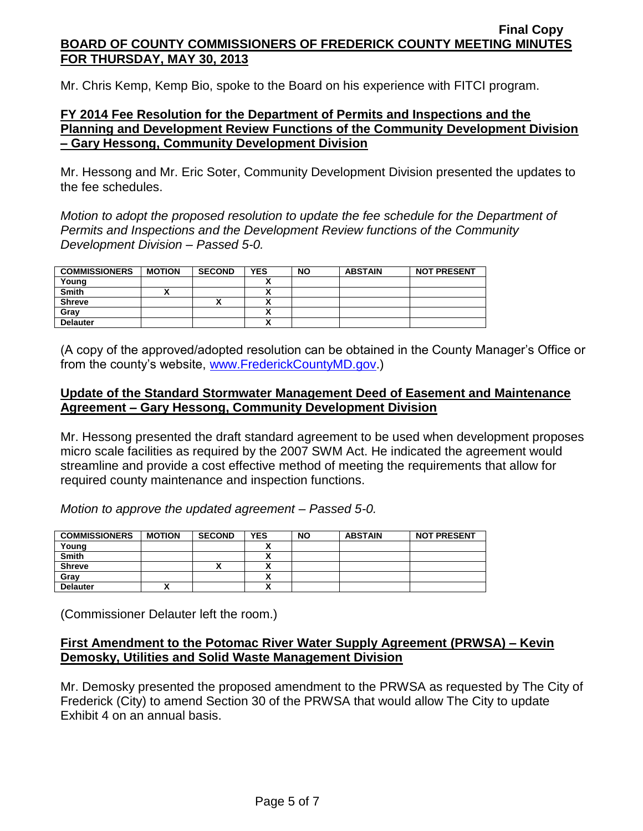Mr. Chris Kemp, Kemp Bio, spoke to the Board on his experience with FITCI program.

## **FY 2014 Fee Resolution for the Department of Permits and Inspections and the Planning and Development Review Functions of the Community Development Division – Gary Hessong, Community Development Division**

Mr. Hessong and Mr. Eric Soter, Community Development Division presented the updates to the fee schedules.

*Motion to adopt the proposed resolution to update the fee schedule for the Department of Permits and Inspections and the Development Review functions of the Community Development Division – Passed 5-0.*

| <b>COMMISSIONERS</b> | <b>MOTION</b> | <b>SECOND</b> | <b>YES</b>                           | <b>NO</b> | <b>ABSTAIN</b> | <b>NOT PRESENT</b> |
|----------------------|---------------|---------------|--------------------------------------|-----------|----------------|--------------------|
| Young                |               |               |                                      |           |                |                    |
| Smith                |               |               | $\ddot{\phantom{a}}$                 |           |                |                    |
| <b>Shreve</b>        |               |               | $\overline{\phantom{a}}$             |           |                |                    |
| Grav                 |               |               | $\ddot{\phantom{a}}$<br>~            |           |                |                    |
| <b>Delauter</b>      |               |               | $\ddot{\phantom{0}}$<br>$\mathbf{v}$ |           |                |                    |

(A copy of the approved/adopted resolution can be obtained in the County Manager's Office or from the county's website, [www.FrederickCountyMD.gov.](http://www.frederickcountymd.gov/))

# **Update of the Standard Stormwater Management Deed of Easement and Maintenance Agreement – Gary Hessong, Community Development Division**

Mr. Hessong presented the draft standard agreement to be used when development proposes micro scale facilities as required by the 2007 SWM Act. He indicated the agreement would streamline and provide a cost effective method of meeting the requirements that allow for required county maintenance and inspection functions.

*Motion to approve the updated agreement – Passed 5-0.*

| <b>COMMISSIONERS</b> | <b>MOTION</b> | <b>SECOND</b> | <b>YES</b> | <b>NO</b> | <b>ABSTAIN</b> | <b>NOT PRESENT</b> |
|----------------------|---------------|---------------|------------|-----------|----------------|--------------------|
| Young                |               |               |            |           |                |                    |
| <b>Smith</b>         |               |               |            |           |                |                    |
| <b>Shreve</b>        |               |               |            |           |                |                    |
| Grav                 |               |               |            |           |                |                    |
| <b>Delauter</b>      |               |               | n          |           |                |                    |

(Commissioner Delauter left the room.)

## **First Amendment to the Potomac River Water Supply Agreement (PRWSA) – Kevin Demosky, Utilities and Solid Waste Management Division**

Mr. Demosky presented the proposed amendment to the PRWSA as requested by The City of Frederick (City) to amend Section 30 of the PRWSA that would allow The City to update Exhibit 4 on an annual basis.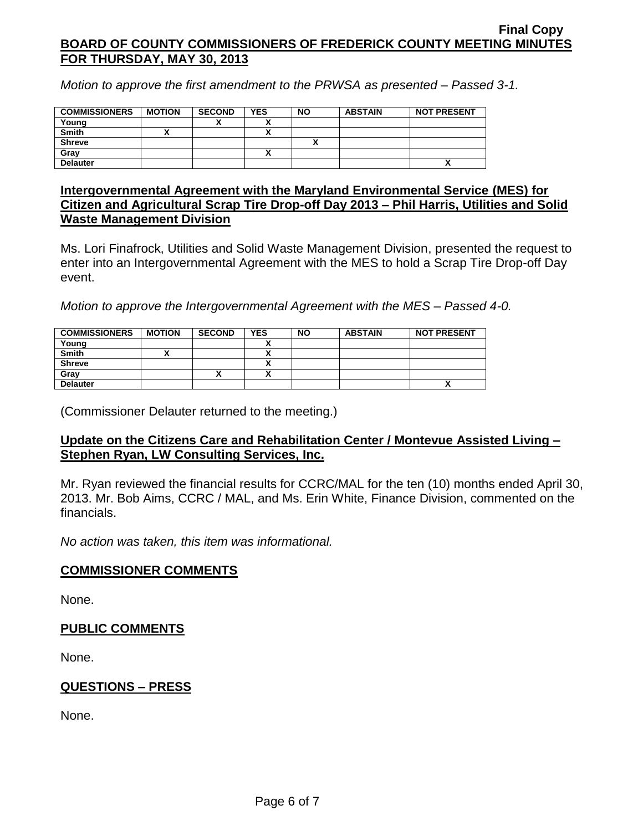*Motion to approve the first amendment to the PRWSA as presented – Passed 3-1.*

| <b>COMMISSIONERS</b> | <b>MOTION</b> | <b>SECOND</b> | <b>YES</b> | <b>NO</b> | <b>ABSTAIN</b> | <b>NOT PRESENT</b>       |
|----------------------|---------------|---------------|------------|-----------|----------------|--------------------------|
| Young                |               |               |            |           |                |                          |
| <b>Smith</b>         |               |               |            |           |                |                          |
| <b>Shreve</b>        |               |               |            |           |                |                          |
| Gray                 |               |               | $\cdot$    |           |                |                          |
| <b>Delauter</b>      |               |               |            |           |                | $\overline{\phantom{a}}$ |

### **Intergovernmental Agreement with the Maryland Environmental Service (MES) for Citizen and Agricultural Scrap Tire Drop-off Day 2013 – Phil Harris, Utilities and Solid Waste Management Division**

Ms. Lori Finafrock, Utilities and Solid Waste Management Division, presented the request to enter into an Intergovernmental Agreement with the MES to hold a Scrap Tire Drop-off Day event.

*Motion to approve the Intergovernmental Agreement with the MES – Passed 4-0.*

| <b>COMMISSIONERS</b> | <b>MOTION</b> | <b>SECOND</b> | <b>YES</b>   | <b>NO</b> | <b>ABSTAIN</b> | <b>NOT PRESENT</b> |
|----------------------|---------------|---------------|--------------|-----------|----------------|--------------------|
| Young                |               |               |              |           |                |                    |
| <b>Smith</b>         |               |               | ~            |           |                |                    |
| <b>Shreve</b>        |               |               | $\mathbf{v}$ |           |                |                    |
| Gray                 |               |               |              |           |                |                    |
| <b>Delauter</b>      |               |               |              |           |                | Δ                  |

(Commissioner Delauter returned to the meeting.)

## **Update on the Citizens Care and Rehabilitation Center / Montevue Assisted Living – Stephen Ryan, LW Consulting Services, Inc.**

Mr. Ryan reviewed the financial results for CCRC/MAL for the ten (10) months ended April 30, 2013. Mr. Bob Aims, CCRC / MAL, and Ms. Erin White, Finance Division, commented on the financials.

*No action was taken, this item was informational.*

## **COMMISSIONER COMMENTS**

None.

## **PUBLIC COMMENTS**

None.

## **QUESTIONS – PRESS**

None.